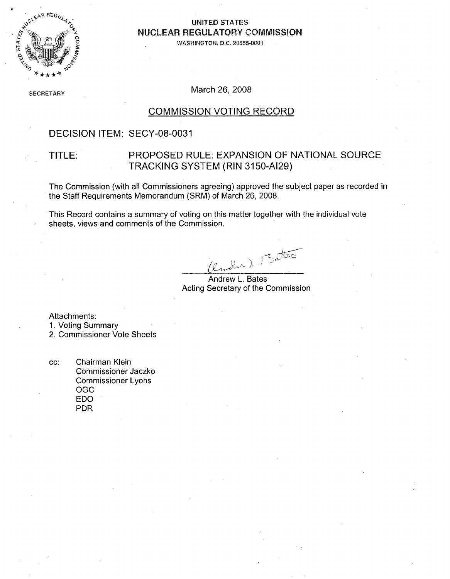

#### **UNITED STATES NUCLEAR REGULATORY COMMISSION**

**WASHINGTON. D.C. 20555-0001**

SECRETARY March 26, 2008

#### COMMISSION VOTING RECORD

#### DECISION ITEM: SECY-08-0031

#### TITLE: PROPOSED RULE: EXPANSION OF NATIONAL SOURCE TRACKING SYSTEM (RIN 3150-AI29)

The Commission (with all Commissioners agreeing) approved the subject paper as recorded in the Staff Requirements Memorandum (SRM) of March 26, 2008.

This Record contains a summary of voting on this matter together with the individual vote sheets, views and comments of the Commission.

nder). Bat

Andrew L. Bates Acting Secretary of the Commission

Attachments:

- 1. Voting Summary
- 2. Commissioner Vote Sheets
- cc: Chairman Klein Commissioner Jaczko Commissioner Lyons OGC EDO PDR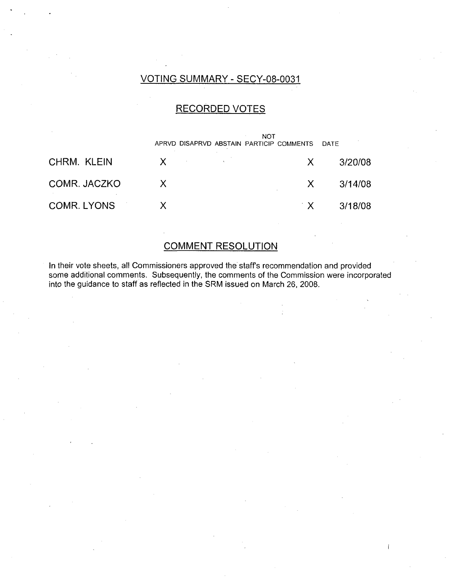# VOTING SUMMARY - SECY-08-0031

### RECORDED VOTES

|              | APRVD DISAPRVD ABSTAIN PARTICIP COMMENTS | <b>NOT</b> |                         | DATE    |
|--------------|------------------------------------------|------------|-------------------------|---------|
| CHRM. KLEIN  | X.                                       |            | X.                      | 3/20/08 |
| COMR. JACZKO | X                                        |            | X                       | 3/14/08 |
| COMR. LYONS  |                                          |            | $^{\circ}$ X $^{\circ}$ | 3/18/08 |

# COMMENT RESOLUTION

In their vote sheets, all Commissioners approved the staff's recommendation and provided some additional comments. Subsequently, the comments of the Commission were incorporated into the guidance to staff as reflected in the SRM issued on March 26, 2008.

 $\mathbf{I}$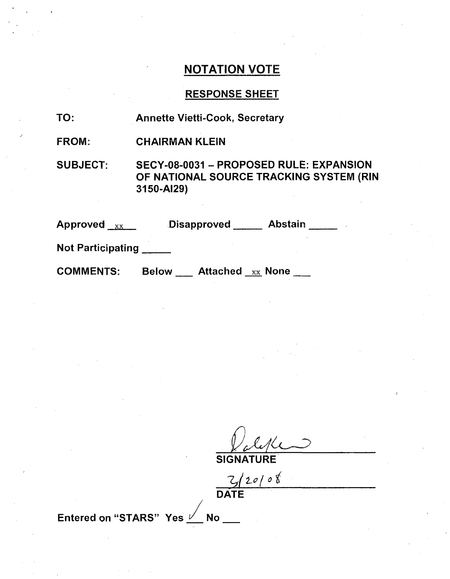### NOTATION VOTE

# RESPONSE SHEET

| TO: | <b>Annette Vietti-Cook, Secretary</b> |
|-----|---------------------------------------|
|-----|---------------------------------------|

FROM: CHAIRMAN KLEIN

SUBJECT: SECY-08-0031 - PROPOSED RULE: EXPANSION OF NATIONAL SOURCE TRACKING SYSTEM (RIN 3150-AI29)

| <b>Approved</b><br>XX    |              | Disapproved                  | <b>Abstain</b> |  |
|--------------------------|--------------|------------------------------|----------------|--|
| <b>Not Participating</b> |              |                              |                |  |
| <b>COMMENTS:</b>         | <b>Below</b> | Attached $_{\text{xx}}$ None |                |  |

**SIGNATURE** 

 $\frac{Z/20108}{\text{DATE}}$ 

Entered on "STARS" Yes  $\frac{1}{2}$  No \_\_\_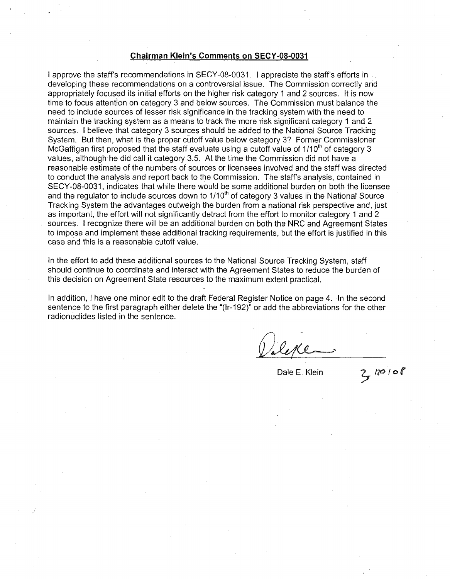#### Chairman Klein's Comments on **SECY-08-0031**

I approve the staff's recommendations in SECY-08-0031. I appreciate the staff's efforts in . developing these recommendations on a controversial issue. The Commission correctly and appropriately focused its initial efforts on the higher risk category 1 and 2 sources. It is now time to focus attention on category 3 and below sources. The Commission must balance the need to include sources of lesser risk significance in the tracking system with the need to maintain the tracking system as a means to track the more risk significant category 1 and 2 sources. I believe that category 3 sources should be added to the National Source Tracking System. But then, what is the proper cutoff value below category 3? Former Commissioner McGaffigan first proposed that the staff evaluate using a cutoff value of  $1/10<sup>th</sup>$  of category 3 values, although he did call it category 3.5. At the time the Commission did not have a reasonable estimate of the numbers of sources or licensees involved and the staff was directed to conduct the analysis and report back to the Commission. The staff's analysis, contained in SECY-08-0031, indicates that while there would be some additional burden on both the licensee and the regulator to include sources down to  $1/10<sup>th</sup>$  of category 3 values in the National Source Tracking System the advantages outweigh the burden from a national risk perspective and, just as important, the effort will not significantly detract from the effort to monitor category **1** and 2 sources. I recognize there will be an additional burden on both the NRC and Agreement States to impose and implement these additional tracking requirements, but the effort is justified in this case and this is a reasonable cutoff value.

In the effort to add these additional sources to the National Source Tracking System, staff should continue to coordinate and interact with the Agreement States to reduce the burden of this decision on Agreement State resources to the maximum extent practical.

In addition, I have one minor edit to the draft Federal Register Notice on page 4. In the second sentence to the first paragraph either delete the "(Ir-192)" or add the abbreviations for the other radionuclides listed in the sentence.

Dale **E.** Klein **/70 /O**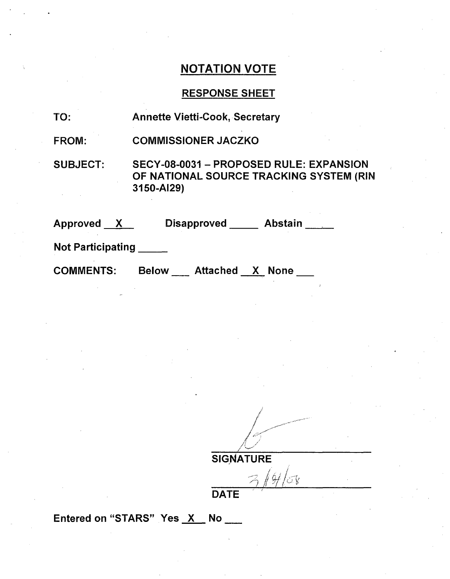# NOTATION VOTE

# RESPONSE SHEET

| TO:                      | <b>Annette Vietti-Cook, Secretary</b>                                                            |
|--------------------------|--------------------------------------------------------------------------------------------------|
| <b>FROM:</b>             | <b>COMMISSIONER JACZKO</b>                                                                       |
| <b>SUBJECT:</b>          | SECY-08-0031 - PROPOSED RULE: EXPANSION<br>OF NATIONAL SOURCE TRACKING SYSTEM (RIN<br>3150-AI29) |
| Approved X               | <b>Disapproved</b><br>Abstain                                                                    |
| <b>Not Participating</b> |                                                                                                  |

Below \_\_\_ Attached \_X None \_\_

*A* /

**SIGNATURE** 

 $3/4$ lor

DATE

Entered on "STARS" Yes X No \_\_

**COMMENTS:**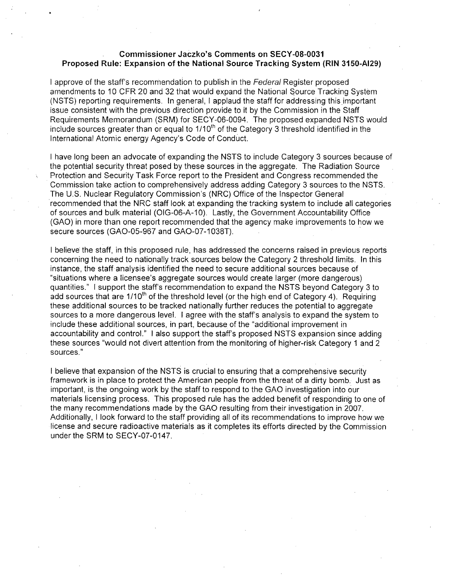#### Commissioner Jaczko's Comments on **SECY-08-0031** Proposed Rule: Expansion of the National Source Tracking System (RIN **3150-AI29)**

I approve of the staff's recommendation to publish in the Federal Register proposed amendments to 10 CFR 20 and 32 that would expand the National Source Tracking System (NSTS) reporting requirements. In general, I applaud the staff for addressing this important issue consistent with the previous direction provide to it by the Commission in the Staff Requirements Memorandum (SRM) for SECY-06-0094. The proposed expanded NSTS would include sources greater than or equal to  $1/10<sup>th</sup>$  of the Category 3 threshold identified in the International Atomic energy Agency's Code of Conduct.

I have long been an advocate of expanding the NSTS to include Category 3 sources because of the potential security threat posed by these sources in the aggregate. The Radiation Source Protection and Security Task Force report to the President and Congress recommended the Commission take action to comprehensively address adding Category 3 sources to the NSTS. The U.S. Nuclear Regulatory Commission's (NRC) Office of the Inspector General recommended that the NRC staff look at expanding the'tracking system to include all categories of sources and bulk material (OIG-06-A-10). Lastly, the Government Accountability Office (GAO) in more than one report recommended that the agency make improvements to how we secure sources (GAO-05-967 and GAO-07-1038T).

I believe the staff, in this proposed rule, has addressed the concerns raised in previous reports concerning the need to nationally track sources below the Category 2 threshold limits. In this instance, the staff analysis identified the need to secure additional sources because of "situations where a licensee's aggregate sources would create larger (more dangerous) quantities." I support the staff's recommendation to expand the NSTS beyond Category 3 to add sources that are 1/10<sup>th</sup> of the threshold level (or the high end of Category 4). Requiring these additional sources to be tracked nationally further reduces the potential to aggregate sources to a more dangerous level. I agree with the staff's analysis to expand the system to include these additional sources, in part, because of the "additional improvement in accountability and control." I also support the staff's proposed NSTS expansion since adding these sources "would not divert attention from the monitoring of higher-risk Category 1 and 2 sources."

I believe that expansion of the NSTS is crucial to ensuring that a comprehensive security framework is in place to protect the American people from the threat of a dirty bomb. Just as important, is the ongoing work by the staff to respond to the GAO investigation into our materials licensing process. This proposed rule has the added benefit of responding to one of the many recommendations made by the GAO resulting from their investigation in 2007. Additionally, I look forward to the staff providing all of its recommendations to improve how we license and secure radioactive materials as it completes its efforts directed by the Commission under the SRM to SECY-07-0147.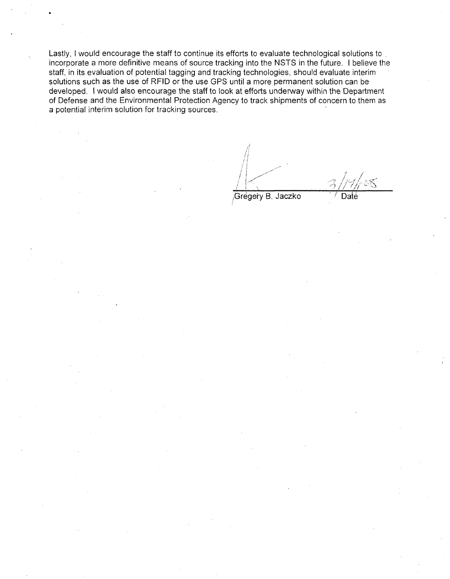Lastly, I would encourage the staff to continue its efforts to evaluate technological solutions to incorporate a more definitive means of source tracking into the NSTS in the future. I believe the staff, in its evaluation of potential tagging and tracking technologies, should evaluate interim solutions such as the use of RFID or the use **GPS** until a more permanent solution can be developed. I would also encourage the staff to look at efforts underway within the Department of Defense and the Environmental Protection Agency to track shipments of concern to them as a potential interim solution for tracking sources.

Gregory B. Jaczko <sup>11</sup>/ Date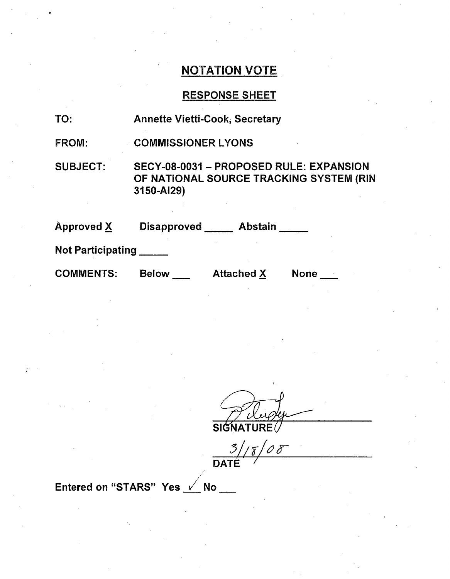# NOTATION VOTE

# RESPONSE SHEET

| TO:                      | <b>Annette Vietti-Cook, Secretary</b> |                   |                                                                                    |
|--------------------------|---------------------------------------|-------------------|------------------------------------------------------------------------------------|
| <b>FROM:</b>             | <b>COMMISSIONER LYONS</b>             |                   |                                                                                    |
| <b>SUBJECT:</b>          | 3150-AI29)                            |                   | SECY-08-0031 - PROPOSED RULE: EXPANSION<br>OF NATIONAL SOURCE TRACKING SYSTEM (RIN |
| <b>Approved X</b>        | <b>Disapproved</b>                    | <b>Abstain</b>    |                                                                                    |
| <b>Not Participating</b> |                                       |                   |                                                                                    |
| <b>COMMENTS:</b>         | <b>Below</b>                          | <b>Attached X</b> | <b>None</b>                                                                        |

SIGNATURE

 $\frac{3}{\sqrt{8}}$ 

Entered on "STARS" Yes  $\sqrt{ }$  No \_\_